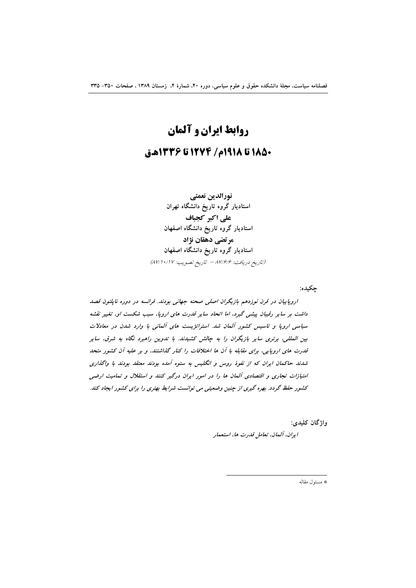# روابط ايران و آلمان 1850 تا 1918م/ 1274 تا 1336هـق

نورالدين نعمتي استادیار گروه تاریخ دانشگاه تهران على اكبر كجباف استادیار گروه تاریخ دانشگاه اصفهان مرتضى دهقان نژاد استادیار گروه تاریخ دانشگاه اصفهان (تاريخ دريافت: ٨٧/۶/۶ - تاريخ تصويب: ٨٧/١٠/١٧)

جکیده:

اروپاییان در قرن نوزدهم بازیگران اصلی صحنه جهانی بودند. فرانسه در دوره ناپلئون قصد داشت بر سایر رقیبان پیشی گیرد، اما اتحاد سایر قدرت های اروپا، سبب شکست او، تغییر نقشه سیاسی اروپا و تاسیس کشور آلمان شد. استراتژیست های آلمانی با وارد شدن در معادلات بین المللی، برتری سایر بازیگران را به چالش کشیدند. با تدوین راهبرد نگاه به شرق، سایر قدرت های اروپایی، برای مقابله با آن ها اختلافات را کنار گذاشتند. و بر علیه آن کشور متحد شدند حاکمان ایران که از نفوذ روس و انگلیس به ستوه آمده بودند معتقد بودند با واگذاری امتیازات تجاری و اقتصادی آلمان ها را در امور ایران درگیر کنند و استقلال و تمامیت ارضی کشور حفظ گردد. بهره گیری از چنین وضعیتی می توانست شرایط بهتری را برای کشور ایجاد کند.

واژگان کليدي:

ايران، آلمان، تعامل قدرت ها، استعمار

\* مسئول مقاله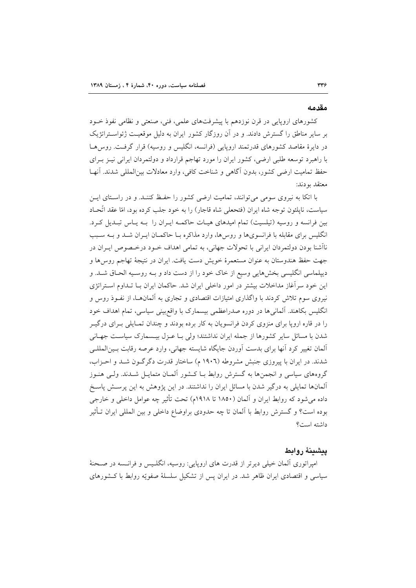#### مقدمه

کشورهای اروپایی در قرن نوزدهم با پیشرفتهای علمی، فنی، صنعتی و نظامی نفوذ خـود بر سایر مناطق را گسترش دادند. و در آن روزگار کشور ایران به دلیل موقعیت ژئواســتراتژیک در دایرهٔ مقاصد کشورهای قدرتمند اروپایی (فرانسه، انگلیس و روسیه) قرار گرفت. روس هـا با راهبرد توسعه طلبی ارضی، کشور ایران را مورد تهاجم قرارداد و دولتمردان ایرانی نیـز بـرای حفظ تماميت ارضي كشور، بدون أكاهي و شناخت كافي، وارد معادلات بين المللي شدند. آنهـا معتقد يودند:

با اتکا به نیروی سومی می توانند، تمامیت ارضی کشور را حفیظ کننـد. و در راسـتای ایـن سیاست، نایلئون توجه شاه ایران (فتحعلی شاه قاجار) را به خود جلب کرده بود، امّا عقد اتّحـاد بین فرانسه و روسیه (تیلسیت) تمام امیدهای هیـات حاکمـه ایـران را بـه یـاس تبـدیل کـرد. انگلیس برای مقابله با فرانسویها و روسها، وارد مذاکره بـا حاکمــان ایــران شــد و بــه ســبب ناأشنا بودن دولتمردان ايراني با تحولات جهاني، به تمامي اهداف خــود درخــصوص ايــران در جهت حفظ هندوستان به عنوان مستعمرهٔ خویش دست یافت. ایران در نتیجهٔ تهاجم روس ها و دیپلماسی انگلیسی بخشهایی وسیع از خاک خود را از دست داد و بـه روسـیه الحـاق شـد. و این خود سرآغاز مداخلات بیشتر در امور داخلی ایران شد. حاکمان ایران بـا تـداوم اسـتراتژی نیروی سوم تلاش کردند با واگذاری امتیازات اقتصادی و تجاری به آلمانهــا، از نفـوذ روس و انگلیس بکاهند. آلمانیها در دوره صدراعظمی بیسمارک با واقع بینی سیاسی، تمام اهداف خود را در قاره اروپا برای منزوی کردن فرانسویان به کار برده بودند و چندان تمـایلی بـرای درگیـر شدن با مسائل سایر کشورها از جمله ایران نداشتند؛ ولی بـا عـزل بیـسمارک سیاسـت جهـانی العان تغییر کرد انها برای بدست اَوردن جایگاه شایسته جهانی، وارد عرصه رقابت بـین|لعللـی شدند. در ایران با پیروزی جنبش مشروطه (۱۹۰٦ م) ساختار قدرت دگرگون شـد و احـزاب، گروههای سیاسی و انجمنها به گسترش روابط بـا کـشور آلمــان متمایــل شــدند. ولــی هنــوز آلمانها تمایلی به درگیر شدن با مسائل ایران را نداشتند. در این پژوهش به این پرستش پاسخ داده می شود که روابط ایران و آلمان (۱۸۵۰ تا ۱۹۱۸م) تحت تأثیر چه عوامل داخلی و خارجی بوده است؟ و گسترش روابط با آلمان تا چه حدودی براوضاع داخلی و بین المللی ایران تـأثیر داشته است؟

# بيشينة روابط

امیراتوری آلمان خیلی دیرتر از قدرت های اروپایی: روسیه، انگلـیس و فرانـسه در صـحنهٔ سیاسی و اقتصادی ایران ظاهر شد. در ایران پس از تشکیل سلسلهٔ صفویّه روابط با کـشورهای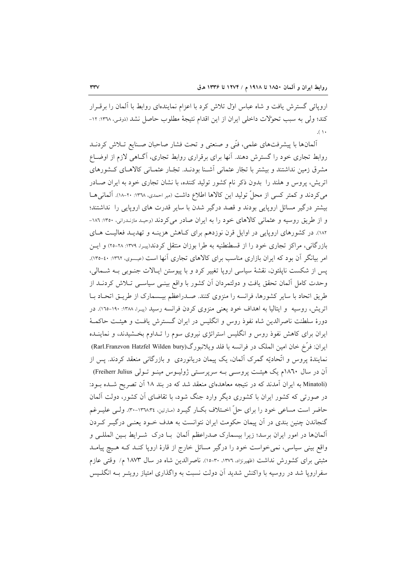اروپائی گسترش یافت و شاه عباس اول تلاش کرد با اعزام نمایندهای روابط با آلمان را برقـرار كند؛ ولي به سبب تحوِّلات داخلي ايران از اين اقدام نتيجة مطلوب حاصل نشد (ذوقي، ١٣٦٨: ١٢- $( \wedge$ 

المانها با پیشرفتهای علمی، فنّی و صنعتی و تحت فشار صاحبان صـنایع تـلاش کردنــد روابط تجاری خود را گسترش دهند. آنها برای برقراری روابط تجاری، آگ&یی لازم از اوضـاع مشرق زمین نداشتند و بیشتر با تجار عثمانی آشـنا بودنـد. تجّـار عثمـانی کالاهـای کـشورهای اتریش، پروس و هلند را بدون ذکر نام کشور تولید کننده، با نشان تجاری خود به ایران صـادر می کردند و کمتر کسی از محلّ تولید این کالاها اطلاع داشت (میر احمدی، ۱۳۷۰: ۲۰-۱۸). آلمانی هـا بیشتر درگیر مسائل اروپایی بودند و قصد درگیر شدن با سایر قدرت های اروپایی را نداشتند؛ و از طریق روسیه و عثمانی کالاهای خود را به ایران صادر می کردند (وحید مازندرانی، ١٣٥٠: ١٨٦-۱۸۲). در کشورهای اروپایی در اوایل قرن نوزدهم برای کـاهش هزینـه و تهدیـد فعالیـت هـای بازرگانی، مراکز تجاری خود را از قسطنطنیه به طرا بوزان منتقل کردند(پیـرا، ۱۳۷۹: ۲۸-۲۰) و ایــن امر بیانگر آن بود که ایران بازاری مناسب برای کالاهای تجاری آنها است (عیسوی، ۱۳٦۲: ٤٠-۱۳٥). پس از شکست ناپلئون، نقشهٔ سیاسی اروپا تغییر کرد و با پیوستن ایـالات جنـوبی بـه شـمالی، وحدت کامل آلمان تحقق یافت و دولتمردان آن کشور با واقع بینــی سیاســی تــلاش کردنــد از طريق اتحاد با ساير كشورها، فرانسه را منزوى كنند. صـدراعظم بيـسمارك از طريــق اتحـاد بــا اتریش، روسیه و ایتالیا به اهداف خود یعنی منزوی کردن فرانسه رسید (پیـرا، ۱۳۸۸: ۱۹۰-۱۲۰). در دورهٔ سلطنت ناصرالدین شاه نفوذ روس و انگلیس در ایران گـسترش یافـت و هیئـت حاکمـهٔ ایران برای کاهش نفوذ روس و انگلیس استراتژی نیروی سوم را تـداوم بخـشیدند، و نماینــده ايران: فرَّخ خان امين الملك در فرانسه با فلد ويلانبورگ(Rarl.Franzvon Hatzfel Wilden bury) نمایندهٔ پروس و اتّحادیّه گمرک آلمان، یک پیمان دریانوردی ًو بازرگانی منعقد کردند. پس از آن در سال ۱۸۶۰م یک هیئت پروسمی بـه سرپرسـتی ژولیـوس مینـو تـولی Freiherr Julius) (Minatoli به ایران آمدند که در نتیجه معاهدهای منعقد شد که در بند ۱۸ آن تصریح شـده بـود: در صورتی که کشور ایران با کشوری دیگر وارد جنگ شود، با تقاضای آن کشور، دولت آلمان حاضر است مساعی خود را برای حلِّ اختلاف بکبار گیبرد (مارتین، ۱۳۷٬۳٤-۴۰). ولی علیبرغم گنجاندن چنین بندی در آن پیمان حکومت ایران نتوانست به هدف خـود یعنـی درگیـر کـردن آلمانها در امور ایران برسد؛ زیرا بیسمارک صدراعظم آلمان بـا درک شــرایط بـین المللــی و واقع بینی سیاسی، نمی خواست خود را درگیر مسائل خارج از قارهٔ اروپا کنـد کـه هـیچ پیامـد مثبتی برای کشورش نداشت (ظهیرنژاد، ۱۳۷۲، ۳۰-۱۵). ناصرالدین شاه در سال ۱۸۷۳ م/ وقتی عازم سفراروپا شد در روسیه با واکنش شدید آن دولت نسبت به واگذاری امتیاز رویتـر بـه انگلـیس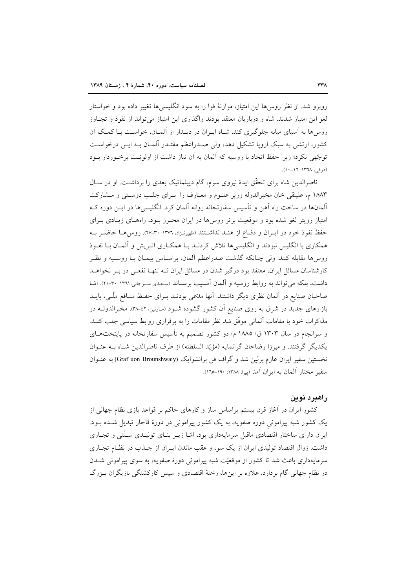روبرو شد. از نظر روس ها این امتیاز، موازنهٔ قوا را به سود انگلیسه ها تغییر داده بود و خواستار لغو این امتیاز شدند. شاه و درباریان معتقد بودند واگذاری این امتیاز می تواند از نفوذ و تجـاوز روس ها به آسیای میانه جلوگیری کند. شـاه ایـران در دیـدار از آلمــان، خواسـت بـا کمـک آن کشور، ارتشی به سبک اروپا تشکیل دهد، ولی صـدراعظم مقتـدر آلمـان بـه ایــن درخواسـت توجّهي نكرد؛ زيرا حفظ اتحاد با روسيه كه آلمان به آن نياز داشت از اولويّـت برخـوردار بــود (ذوقى، ١٣٦٨: ١٦-١٠).

ناصرالدین شاه برای تحقّق ایدهٔ نیروی سوم، گام دیپلماتیک بعدی را برداشت. او در سـال ۱۸۸۳ م، علینقی خان مخبرالدوله وزیر علـوم و معـارف را بـرای جلـب دوسـتی و مـشارکت آلمانها در ساخت راه آهن و تأسیس سفارتخانه روانه آلمان کرد. انگلیسیها در ایــن دوره کــه امتیاز رویتر لغو شده بود و موقعیت برتر روسها در ایران محـرز بـود، راههـای زیـادی بـرای حفظ نفوذ خود در ايبران و دفياع از هنيد نداشتند (ظهيرنـژاد، ١٣٧٦: ٣٠-٢٧). روس هيا حاضــر بــه همکاری با انگلیس نبودند و انگلیسیها تلاش کردنـد بـا همکـاری اتـریش و آلمـان بـا نفـوذ روسها مقابله كنند. ولي چنانكه گذشت صدراعظم آلمان، براسـاس پيمـان بـا روسـيه و نظـر کارشناسان مسائل ایران، معتقد بود درگیر شدن در مسائل ایران نــه تنهـا نفعــی در بــر نخواهــد داشت، بلکه می تواند به روابط روسیه و آلمان آسـیب برسـاند (سـعیدی سـیرجانی،۱۳٦۱: ۳۰-۲۱). امّـا صاحبان صنایع در آلمان نظری دیگر داشتند. آنها مدّعی بودنــد بــرای حفـظ منــافع ملّــی، بایــد بازارهای جدید در شرق به روی صنایع آن کشور گشوده شـود (مارتین، ٤٢-٣٨). مخبرالدولـه در مذاکرات خود با مقامات آلمانی موفّق شد نظر مقامات را به برقراری روابط سیاسی جلب کنـد. و سرانجام در سال ۱۳۰۳ ق/ ۱۸۸۵ م/ دو کشور تصمیم به تأسیس سفارتخانه در پایتختهـای يكديگر گرفتند. و ميرزا رضاخان گرانمايه (مؤيّد السلطنه) از طرف ناصرالدين شـاه بــه عنــوان نخستین سفیر ایران عازم برلین شد و گراف فن برانشوایک (Graf uon Brounshwaiy) به عنـوان سفير مختار آلمان به ابران آمد (پيرا، ١٣٨٨: ١٦٠-١٦٥).

# راهبرد نوين

کشور ایران در آغاز قرن بیستم براساس ساز و کارهای حاکم بر قواعد بازی نظام جهانی از یک کشور شبه پیرامونی دوره صفویه، به یک کشور پیرامونی در دورهٔ قاجار تبدیل شـده بــود. ایران دارای ساختار اقتصادی ماقبل سرمایهداری بود، امّـا زیــر بنــای تولیــدی ســنّتی و تجــاری داشت. زوال اقتصاد تولیدی ایران از یک سو، و عقب ماندن ایـران از جـذب در نظـام تجـاری سرمایهداری باعث شد تا کشور از موقعیّت شبه پیرامونی دورهٔ صفویه، به سوی پیرامونی شــدن در نظام جهانی گام بردارد. علاوه بر اینها، رخنهٔ اقتصادی و سپس کارکشتگی بازیگران بـزرگ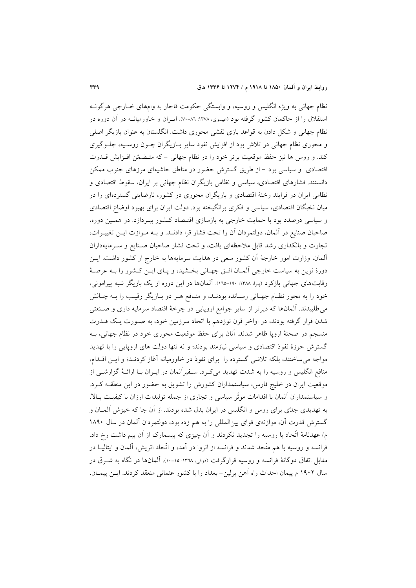نظام جهانی به ویژه انگلیس و روسیه، و وابستگی حکومت قاجار به وامهای خــارجی هرگونــه استقلال را از حاکمان کشور گرفته بود (عیسوی، ۱۳۷۸: ۸۰-۷۰). ایــران و خاورمیانــه در آن دوره در نظام جهانی و شکل دادن به قواعد بازی نقشی محوری داشت. انگلستان به عنوان بازیگر اصلی و محوری نظام جهانی در تلاش بود از افزایش نفوذ سایر بـازیگران چـون روسـیه، جلـوگیری کند. و روس ها نیز حفظ موقعیت برتر خود را در نظام جهانی - که متـضمّن افـزایش قــدرت اقتصادی و سیاسی بود - از طریق گسترش حضور در مناطق حاشیهای مرزهای جنوب ممکن دانستند. فشارهای اقتصادی، سیاسی و نظامی بازیگران نظام جهانی بر ایران، سقوط اقتصادی و نظامی ایران در فرایند رخنهٔ اقتصادی و بازیگران محوری در کشور، نارضایتی گستردهای را در میان نخبگان اقتصادی، سیاسی و فکری برانگیخته بود. دولت ایران برای بهبود اوضاع اقتصادی و سیاسی درصدد بود با حمایت خارجی به بازسازی اقتـصاد کـشور بیـردازد. در همـین دوره، صاحبان صنايع در آلمان، دولتمردان آن را تحت فشار قرا دادنــد. و بــه مــوازت ايــن تغييــرات، تجارت و بانکداری رشد قابل ملاحظهای یافت، و تحت فشار صاحبان صـنایع و سـرمایهداران آلمان، وزارت امور خارجهٔ آن کشور سعی در هدایت سرمایهها به خارج از کشور داشت. ایـن دورهٔ نوین به سیاست خارجی آلمـان افـق جهـانی بخـشید، و پـای ایـن کـشور را بـه عرصـهٔ رقابتهای جهانی بازکرد (پیرا، ۱۳۸۸: ۱۰۰-۱۶۵). آلمانها در این دوره از یک بازیگر شبه پیرامونی، خود را به محور نظـام جهـاني رسـانده بودنـد، و منـافع هـر دو بـازيگر رقيـب را بــه چـالش می طلبیدند. آلمانها که دیرتر از سایر جوامع اروپایی در چرخهٔ اقتصاد سرمایه داری و صـنعتی شدن قرار گرفته بودند، در اواخر قرن نوزدهم با اتحاد سرزمین خود، به صـورت یـک قــدرت منسجم در صحنهٔ اروپا ظاهر شدند. آنان برای حفظ موقعیت محوری خود در نظام جهانی، بـه گسترش حوزهٔ نفوذ اقتصادی و سیاسی نیازمند بودند؛ و نه تنها دولت های اروپایی را با تهدید مواجه می ساختند، بلکه تلاشی گسترده را برای نفوذ در خاورمیانه آغاز کردنـد؛ و ایــن اقــدام، منافع انگلیس و روسیه را به شدت تهدید می کـرد. سـفیرآلمان در ایــران بــا ارائــهٔ گزارشــی از موقعیت ایران در خلیج فارس، سیاستمداران کشورش را تشویق به حضور در این منطقـه کـرد. و سیاستمداران آلمان با اقدامات موثّر سیاسی و تجاری از جمله تولیدات ارزان با کیفیت بـالا، به تهدیدی جدّی برای روس و انگلیس در ایران بدل شده بودند. از آن جا که خیزش آلمــان و گسترش قدرت آن، موازنهی قوای بین المللی را به هم زده بود، دولتمردان آلمان در سال ۱۸۹۰ م/عهدنامهٔ اتّحاد با روسیه را تجدید نکردند و آن چیزی که بیسمارک از آن بیم داشت رخ داد. فرانسه و روسیه با هم متَّحد شدند و فرانسه از انزوا در آمد، و اتَّحاد اتریش، آلمان و ایتالیــا در مقابل اتفاق دوگانهٔ فرانسه و روسیه قرارگرفت (دوقی ۱۳۶۸: ۱۵-۱۰). آلمانها در نگاه به شـرق در سال ۱۹۰۲ م پیمان احداث راه آهن برلین- بغداد را با کشور عثمانی منعقد کردند. ایـن پیمـان،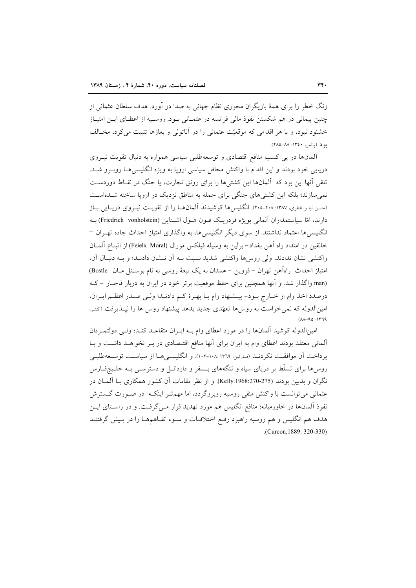زنگ خطر را برای همهٔ بازیگران محوری نظام جهانی به صدا در آورد. هدف سلطان عثمانی از چنین پیمانی در هم شکستن نفوذ مالی فرانسه در عثمـانی بـود. روسـیه از اعطـای ایـن امتیـاز خشنود نبود، و با هر اقدامی که موقعیّت عثمانی را در آناتولی و بغازها تثبیت میکرد، مخـالف بو د (يالمر، ١٣٤٠: ٨٨–٢٨٥).

آلمانها در پی کسب منافع اقتصادی و توسعهطلبی سیاسی همواره به دنبال تقویت نیـروی دریایی خود بودند و این اقدام با واکنش محافل سیاسی اروپا به ویژه انگلیسیهـا روبـرو شـد. تلقی آنها این بود که آلمانها این کشتیها را برای رونق تجارت، یا جنگ در نقـاط دوردسـت نمی سازند؛ بلکه این کشتی های جنگی برای حمله به مناطق نزدیک در اروپا ساخته شــدهاسـت (حسن نیا و ططری، ۱۳۸۷: ۲۰۸-۲۰۵). انگلیسها کوشیدند آلمانها را از تقویت نیـروی دریـایی بـاز دارند، امّا سیاستمداران آلمانی بویژه فردریـک فــون هــول اشــتاین (Friedrich vonholstein) بــه انگلیسی ها اعتماد نداشتند. از سوی دیگر انگلیسی ها، به واگذاری امتیاز احداث جاده تهـران – خانقين در امتداد راه آهن بغداد- برلين به وسيله فيلكس مورال (Feielx Moral) از اتبـاع آلمـان واكنشى نشان ندادند، ولى روسها واكنشى شديد نسبت بـه أن نـشان دادنـد؛ و بـه دنبـال آن، امتیاز احداث راهآهن تهران - قزوین - همدان به یک تبعهٔ روسی به نام بوستل مـان Bostle) (man واگذار شد. و آنها همچنین برای حفظ موقعیت برتر خود در ایران به دربار قاجبار - ک درصدد اخذ وام از خبارج ببود- پیشنهاد وام با بهترهٔ کیم دادنید؛ ولی صیدر اعظیم ایبران، امینالدوله که نمی خواست به روس ها تعهّدی جدید بدهد پیشنهاد روس ها را نپـذیرفت (انتـر،  $PTT1: OP-AA$ ).

امین|لدوله کوشید آلمانها را در مورد اعطای وام بـه ایـران متقاعـد کنـد؛ ولـی دولتمـردان آلمانی معتقد بودند اعطای وام به ایران برای آنها منافع اقتـصادی در بـر نخواهــد داشــت و بــا ير داخت آن موافقت نكر دنـد (مـارتين، ١٣٦٩-١٠٨: ١٠٢-١٠٢). و انگليـسي هـا از سياسـت توسـعهطلبـي روسها برای تسلّط بر دریای سیاه و تنگههای بـسفر و داردانـل و دسترســی بــه خلــیجفــارس نگران و بدبین بودند (275-2708:270-Kelly). و از نظر مقامات آن کشور همکاری بـا آلمــان در عثمانی می توانست با واکنش منفی روسیه روبروگردد، اما مهم تـر اینکــه ۖ در صـورت گــسترش نفوذ آلمانها در خاورمیانه؛ منافع انگلیس هم مورد تهدید قرار مـیگرفـت. و در راسـتای ایـن هدف هم انگلیس و هم روسیه راهبرد رفع اختلافات و سـوء تفـاهـمهـا را در پـیش گرفتنــد .(Curcon, 1889: 320-330)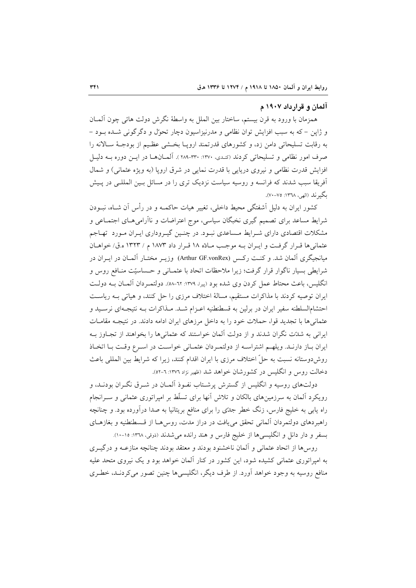## آلمان و قرارداد ۱۹۰۷ م

همزمان با ورود به قرن بیستم، ساختار بین الملل به واسطهٔ نگرش دولت هائی چون آلمــان و ژاپن – که به سبب افزایش توان نظامی و مدرنیزاسیون دچار تحوّل و دگرگونی شـده بـود – به رقابت تسلیحاتی دامن زد، و کشورهای قدرتمند اروپـا بخـشی عظـیم از بودجـهٔ ســالانه را صرف امور نظامی و تسلیحاتی کردند (کندی، ۱۳۷۰: ۳۰۰-۲۸۹). آلمسان هـا در ایــن دوره بــه دلیــل افزایش قدرت نظامی و نیروی دریایی با قدرت نمایی در شرق اروپا (به ویژه عثمانی) و شمال آفریقا سبب شدند که فرانسه و روسیه سیاست نزدیک تری را در مسائل بسین المللـی در پـیش بگير ند (الهي، ١٣٦٨: ٧٥-٧٠).

کشور ایران به دلیل آشفتگی محیط داخلی، تغییر هیات حاکمــه و در رأس آن شــاه، نبــودن شرایط مساعد برای تصمیم گیری نخبگان سیاسی، موج اعتراضات و ناآرامیهـای اجتمـاعی و مشکلات اقتصادی دارای شـرایط مـساعدی نبـود. در چنـین گیـروداری ایـران مـورد تهـاجم عثماني ها قرار گرفت و ايـران بـه موجـب مـادّه ١٨ قـرار داد ١٨٧٣ م / ١٣٢٣ ه.ق/ خواهـان میانجیگری آلمان شد. و کنـت رکـس (Arthur GF.vonRex) وزیـر مختـار آلمـان در ایــران در شرایطی بسیار ناگوار قرار گرفت؛ زیرا ملاحظات اتحاد با عثمـانی و حـساسیّت منـافع روس و انگلیس، باعث محتاط عمل کردن وی شده بود (پیرا، ۱۳۷۹: ۲۲-۵۸). دولتمـردان آلمـان بــه دولــت ایران توصیه کردند با مذاکرات مستقیم، مسالهٔ اختلاف مرزی را حل کنند، و هیاتی بـه ریاسـت احتشام|لسلطنه سفير ايران در برلين به قسطنطنيه اعـزام شـد. مـذاكرات بـه نتيجـهاي نرسـيد و عثمانی ها با تجدید قوا، حملات خود را به داخل مرزهای ایران ادامه دادند. در نتیجـه مقامـات ایرانی به شدّت نگران شدند و از دولت آلمان خواستند که عثمانیها را بخواهند از تجـاوز بـه ايران باز دارنـد. ويلهـم اشتراسـه از دولتمـردان عثمـاني خواسـت در اسـرع وقـت بـا اتخـاذ روشدوستانه نسبت به حلِّ اختلاف مرزى با ايران اقدام كنند، زيرا كه شرايط بين المللي باعث دخالت روس و انگلیس در کشورشان خواهد شد (ظهیر نژاد ۱۳۷۲: ٦-۵۲).

دولتهای روسیه و انگلیس از گسترش پرشـتاب نفـوذ آلمـان در شـرق نگـران بودنـد، و رویکرد آلمان به سرزمینهای بالکان و تلاش آنها برای تسلّط بر امیراتوری عثمانی و سـرانجام راه یابی به خلیج فارس، زنگ خطر جدّی را برای منافع بریتانیا به صدا درآورده بود. و چنانچه راهبردهای دولتمردان آلمانی تحقق مییافت در دراز مدت، روس۵حا از قـسطنطنیه و بغازهـای بسفر و دار دانل و انگلیسیها از خلیج فارس و هند رانده میشدند (ذوقی، ۱۳۷۸: ۱۰-۱۰).

روسها از اتحاد عثمانی و آلمان ناخشنود بودند و معتقد بودند چنانچه منازعــه و درگیــری به امیراتوری عثمانی کشیده شود، این کشور در کنار آلمان خواهد بود و یک نیروی متحد علیه منافع روسیه به وجود خواهد آورد. از طرف دیگر، انگلیسی ها چنین تصور می کردنـد، خطـری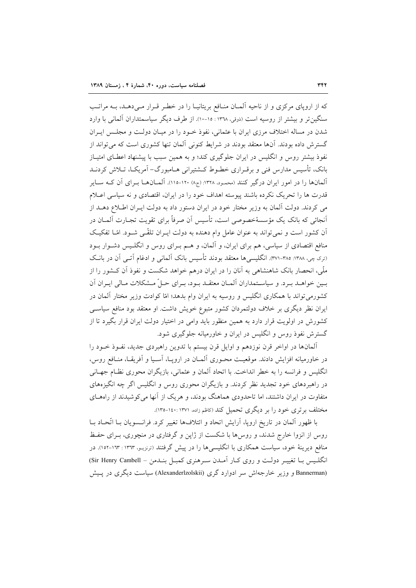که از اروپای مرکزی و از ناحیه آلمان منافع بریتانیـا را در خطـر قـرار مـیدهـد، بـه مراتـب سنگین تر و بیشتر از روسیه است (ذوقی، ۱۳۳۸ : ۱۵-۱۰). از طرف دیگر سیاسمتداران آلمانی با وارد شدن در مساله اختلاف مرزی ایران با عثمانی، نفوذ خـود را در میـان دولـت و مجلـس ایــران گسترش داده بودند. آنها معتقد بودند در شرایط کنونی آلمان تنها کشوری است که می تواند از نفوذ بیشتر روس و انگلیس در ایران جلوگیری کند؛ و به همین سبب با پیشنهاد اعطـای امتیـاز بانک، تأسیس مدارس فنی و برقـراری خطـوط کـشتیرانی هـامبورگ- آمریکـا، تــلاش کردنــد آلمانها را در امور ایران درگیر کنند (محمود، ۱۳۲۸: (ج۸) ۱۲۰-۱۱۵). آلمـانهـا بـرای آن کـه سـایر قدرت ها را تحریک نکرده باشند پیوسته اهداف خود را در ایران، اقتصادی و نه سیاسی اعـلام می کردند. دولت آلمان به وزیر مختار خود در ایران دستور داد به دولت ایـران اطـلاع دهـلد از اَنجائی که بانک یک مؤسسهٔخصوصی است، تأسیس اَن صرفاً برای تقویت تجـارت اَلمـان در آن کشور است و نمی تواند به عنوان عامل وام دهنده به دولت ایـران تلقّـی شـود. امّـا تفکیـک منافع اقتصادی از سیاسی، هم برای ایران، و آلمان، و هـم بـرای روس و انگلـیس دشـوار بـود (تری چی، ۱۳۸۸: ۳۷۵-۳۷۱). انگلیسی ها معتقد بودند تأسیس بانک آلمانی و ادغام آتـی آن در بانـک ملّی، انحصار بانک شاهنشاهی به آنان را در ایران درهم خواهد شکست و نفوذ آن کـشور را از بـين خواهــد بـرد. و سياســتمداران المــان معتقــد بـود، بــراي حــلّ مــشكلات مـالي ايــران اَن کشورمی تواند با همکاری انگلیس و روسیه به ایران وام بدهد؛ امّا کوادت وزیر مختار آلمان در ایران نظر دیگری بر خلاف دولتمردان کشور متبوع خویش داشت. او معتقد بود منافع سیاسبی کشورش در اولویت قرار دارد به همین منظور باید وامی در اختیار دولت ایران قرار بگیرد تا از گسترش نفوذ روس و انگلیس در ایران و خاورمیانه جلوگیری شود.

آلمانها در اواخر قرن نوزدهم و اوایل قرن بیستم با تدوین راهبردی جدید، نفـوذ خـود را در خاورمیانه افزایش دادند. موقعیت محـوری آلمـان در اروپـا، آسـیا و آفریقـا، منـافع روس، انگلیس و فرانسه را به خطر انداخت. با اتحاد آلمان و عثمانی، بازیگران محوری نظـام جهـانی در راهبردهای خود تجدید نظر کردند. و بازیگران محوری روس و انگلیس اگر چه انگیزههای متفاوت در ایران داشتند، اما تاحدودی هماهنگ بودند، و هریک از آنها می کوشیدند از راههـای مختلف برتری خود را بر دیگری تحمیل کند (کاظم زاده، ۱۳۷۱ :۱۰-۱۳۵).

با ظهور آلمان در تاریخ اروپا، آرایش اتحاد و ائتلافها تغییر کرد. فرانسوپان بـا اتّحـاد بـا روس از انزوا خارج شدند، و روسها با شکست از ژاپن و گرفتاری در منچوری، بـرای حفـظ منافع دیرینهٔ خود، سیاست همکاری با انگلیسی۵ها را در پیش گرفتند (ترنزیـو، ۱۳٦۳: ۱۳۳-۱۵۲). در انگلیس بـا تغییـر دولـت و روی کـار آمـدن سـرهنری کمبـل بنـدمن – Sir Henry Cambell) (Bannerman و وزیر خارجهاش سر ادوارد گری (Alexanderlzolskii) سیاست دیگری در پیش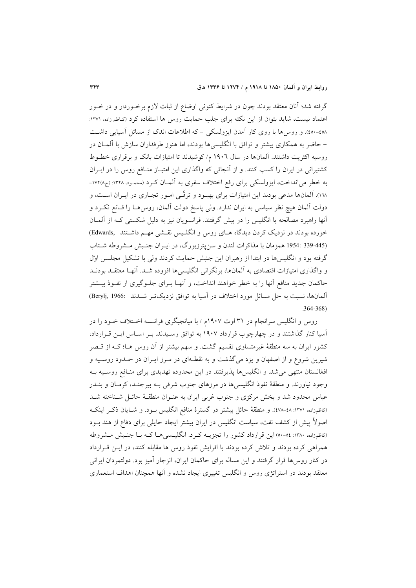گرفته شد؛ آنان معتقد بودند چون در شرایط کنونی اوضاع از ثبات لازم برخـوردار و در خــور اعتماد نیست، شاید بتوان از این نکته برای جلب حمایت روس ها استفاده کرد (کاظم زاده، ۱۳۷۱: ٤٥٠-٤٥٠). و روس ها با روى كار آمدن ايزولسكي - كه اطلاعات اندك از مسائل آسيايي داشت – حاضر به همکاری بیشتر و توافق با انگلیسی ها بودند، اما هنوز طرفداران سازش با آلمــان در روسیه اکثریت داشتند. آلمانها در سال ۱۹۰۲ م/ کوشیدند تا امتیازات بانک و برقراری خطوط کشتیرانی در ایران را کسب کنند. و از آنجائی که واگذاری این امتیـاز منـافع روس را در ایـران به خطر می(نداخت، ایزولسکی برای رفع اختلاف سفری به آلمـان کـرد (محمـود، ۱۳۲۸: (ج۱۷۲۸-۱۰۸). آلمانها مدعی بودند این امتیازات برای بهبود و ترقّعی امـور تجـاری در ایــران اســت، و دولت آلمان هیچ نظر سیاسی به ایران ندارد. ولی پاسخ دولت آلمان، روس۵هـا را قـانع نکـرد و آنها راهبرد مصالحه با انگلیس را در پیش گرفتند. فرانسویان نیز به دلیل شکستی کـه از آلمـان خورده بودند در نزدیک کردن دیدگاه هـای روس و انگلـیس نقـشی مهـم داشـتند (Edwards (445-339 :1954 همزمان با مذاكرات لندن و سن پترزبورگ، در ايـران جنـبش مـشروطه شـتاب گرفته بود و انگلیس ها در ابتدا از رهبران این جنبش حمایت کردند ولی با تشکیل مجلس اول و واگذاری امتیازات اقتصادی به آلمانها، برنگرانی انگلیسیها افزوده شـد. آنهـا معتقـد بودنـد حاکمان جدید منافع آنها را به خطر خواهند انداخت، و آنهـا بـرای جلـوگیری از نفـوذ بیــشتر آلمانها، نسبت به حل مسائل مورد اختلاف در آسیا به توافق نزدیکت و شـدند .Berylj, 1966)  $.364 - 368$ 

روس و انگلیس سرانجام در ۳۱ اوت ۱۹۰۷م / با میانجیگری فرانسه اخـتلاف خــود را در آسیا کنار گذاشتند و در چهارچوب قرارداد ۱۹۰۷ به توافق رسیدند. بـر اسـاس ایـن قـرارداد، کشور ایران به سه منطقهٔ غیرمتساوی تقسیم گشت. و سهم بیشتر از آن روس هــا؛ کــه از قــصر شیرین شروع و از اصفهان و یزد میگذشت و به نقطـهای در مـرز ایـران در حـدود روسـیه و افغانستان منتهی می شد. و انگلیسها پذیرفتند در این محدوده تهدیدی برای منـافع روسـیه بـه وجود نیاورند. و منطقهٔ نفوذ انگلیسیها در مرزهای جنوب شرقی بـه بیرجنـد، کرمـان و بنــدر عباس محدود شد و بخش مرکزی و جنوب غربی ایران به عنـوان منطقـهٔ حائـل شـناخته شـد (كاظمزاده، ١٣٧١: ٤٨-٤٧٨). و منطقهٔ حائل بیشتر در گسترهٔ منافع انگلیس بود. و شبایان ذکر اینک اصولاً پیش از کشف نفت، سیاست انگلیس در ایران بیشتر ایجاد حایلی برای دفاع از هند بــود (كاظمزاده، ١٣٨٠: ٥٤-٥٠) اين قرارداد كشور را تجزيــه كـرد. انگليـسى هـا كــه بــا جنـبش مـشروطه همراهی کرده بودند و تلاش کرده بودند با افزایش نفوذ روس ها مقابله کنند، در ایـن قـرارداد در کنار روس۵ها قرار گرفتند و این مساله برای حاکمان ایران، انزجار آمیز بود. دولتمردان ایرانی معتقد بودند در استراتژی روس و انگلیس تغییری ایجاد نشده و آنها همچنان اهداف استعماری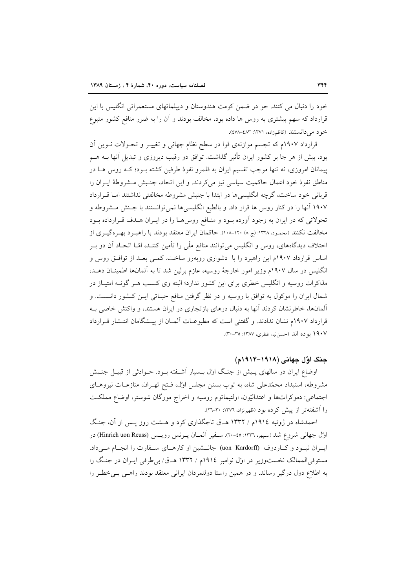خود را دنبال می کنند. حو در ضمن کومت هندوستان و دیپلماتهای مستعمراتی انگلیس با این قرارداد که سهم بیشتری به روس ها داده بود، مخالف بودند و آن را به ضرر منافع کشور متبوع خود می دانستند (کاظمزاده، ۱۳۷۱: ٤٧٨-٤٧٨).

قرارداد ۱۹۰۷م که تجسم موازنهی قوا در سطح نظام جهانی و تغییـر و تحـولات نـوین آن بود، بیش از هر جا بر کشور ایران تأثیر گذاشت. توافق دو رقیب دیروزی و تبدیل آنها بــه هــم پیمانان امروزی، نه تنها موجب تقسیم ایران به قلمرو نفوذ طرفین کشته بـود؛ کـه روس هـا در مناطق نفوذ خود اعمال حاكميت سياسي نيز مي كردند. و اين اتحاد، جنـبش مـشروطة ايـران را قربانی خود ساخت، گرچه انگلیسی ها در ابتدا با جنبش مشروطه مخالفتی نداشتند امـا قـرارداد ۱۹۰۷ آنها را در کنار روس ها قرار داد. و بالطبع انگلیسیها نمیتوانستند با جـنش مـشروطه و تحولاتي كه در ايران به وجود آورده بود و منافع روس هـا را در ايـران هـدف قـرارداده بـود مخالفت نکنند (محمود، ۱۳۲۸: (ج ۸) ۱۲۰–۱۰۸). حاکمان ایران معتقد بودند با راهبـرد بهـر هگیـری از اختلاف دیدگاههای، روس و انگلیس میتوانند منافع ملّی را تأمین کننـد، امّـا اتحـاد آن دو بــر اساس قرارداد ۱۹۰۷م این راهبرد را با دشواری روبهرو ساخت. کمبی بعـد از توافـق روس و انگلیس در سال ۱۹۰۷م وزیر امور خارجهٔ روسیه، عازم برلین شد تا به آلمانها اطمینـان دهـد. مذاکرات روسیه و انگلیس خطری برای این کشور ندارد؛ البته وی کسب هـر گوف امتیـاز در شمال ایران را موکول به توافق با روسیه و در نظر گرفتن منافع حیـاتی ایــن کـشور دانــست. و آلمانها، خاطرنشان کردند آنها به دنبال درهای بازتجاری در ایران هستند، و واکنش خاصی بـه قرارداد ۱۹۰۷م نشان ندادند. و گفتنی است که مطبوعـات آلمـان از پیـشگامان انتـشار قـرارداد ١٩٠٧ بو ده آند (حسن نيا، ططري، ١٣٨٧: ٣٥-٣٠).

# جنگ اوّل جهانی (۱۹۱۸–۱۹۱۴م)

اوضاع ایران در سالهای پـیش از جنـگ اول بــسیار آشــفته بــود. حــوادثی از قبیــل جنــبش مشروطه، استبداد محمّدعلی شاه، به توپ بستن مجلس اوّل، فتح تهـران، منازعـات نيروهـاى اجتماعی: دموکراتها و اعتدالیّون، اولتیماتوم روسیه و اخراج مورگان شوستر، اوضاع مملکت را آشفتهتر از پیش کرده بود (ظهیرنژاد، ۱۳۷۲: ۳۰-۲۲).

احمدشاه در ژوئیه ۱۹۱۶م / ۱۳۳۲ هــق تاجگذاری کرد و هــشت روز پــس از آن، جنـگ اول جهانی شروع شد (سبهر، ۱۳۳۶: ۲۰-۲۰). سـفیر آلمـان پـرنس رویـس (Hinrich uon Reuss) در ایہ ان نسود و کباردوف (uon Kardorff) جانسٹین او کارہای سےفارت را انجبام مے داد. مستوفی الممالک نخستوزیر در اول نوامبر ۱۹۱۶م / ۱۳۳۲ هـق/ بی طرفی ایـران در جنگ را به اطلاع دول درگیر رساند. و در همین راستا دولتمردان ایرانی معتقد بودند راهبی ببی خط ررا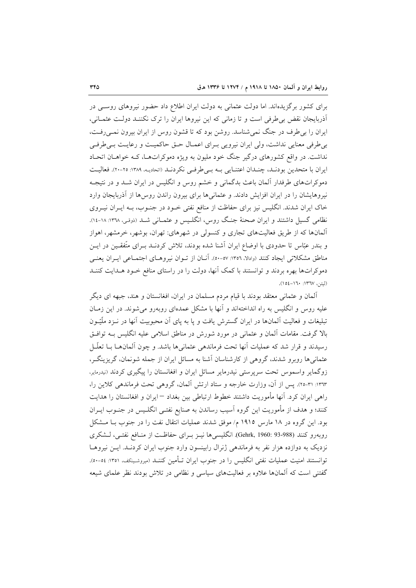برای کشور برگزیدهاند. اما دولت عثمانی به دولت ایران اطلاع داد حضور نیروهای روسبی در أذربایجان نقض بی طرفی است و تا زمانی که این نیروها ایران را ترک نکننـد دولـت عثمـانی، ایران را بر طرف در جنگ نمی شناسد. روشن بود که تا قشون روس از ایران بیرون نمـی(فـت، بی طرفی معنایی نداشت، ولی ایران نیرویی بـرای اعمـال حـق حاکمیـت و رعایـت بـی طرفـی نداشت. در واقع کشورهای درگیر جنگ خود ملیون به ویژه دموکراتهـا، کـه خواهـان اتحـاد ایران با متحدین بودند، چندان اعتنایی به بهاطرفی نکردند (اتحادیه، ۱۳۸۹: ۲۰-۲۰). فعالیت دموکراتهای طرفدار آلمان باعث بدگمانی و خشم روس و انگلیس در ایران شـد و در نتیجـه نیروهایشان را در ایران افزایش دادند. و عثمانیها برای بیرون راندن روسها از آذربایجان وارد خاک ایران شدند. انگلیس نیز برای حفاظت از منافع نفتی خـود در جنـوب، بـه ایـران نیـروی نظامی گسیل داشتند و ایران صحنهٔ جنگ روس، انگلیس و عثمـانی شـد (ذوقـی، ١٣٦٨: ١٨-١٤). آلمانها که از طریق فعالیتهای تجاری و کنسولی در شهرهای: تهران، بوشهر، خرمشهر، اهواز و بندر عبّاس تا حدودی با اوضاع ایران أشنا شده بودند، تلاش کردنــد بــرای متّفقــین در ایــن مناطق مشکلاتی ایجاد کنند (وادالا، ١٣٥٦: ٥٠-٥٠). آنـان از تـوان نيروهـاي اجتمـاعی ايـران يعنـی دموکراتها بهره بردند و توانستند با کمک آنها، دولت را در راستای منافع خــود هــدایت کننــد (ليتن، ١٣٦٧: ١٥٤-١٥٤).

آلمان و عثمانی معتقد بودند با قیام مردم مسلمان در ایران، افغانستان و هند، جبهه ای دیگر علیه روس و انگلیس به راه انداختهاند و آنها با مشکل عمدهای روبهرو می شوند. در این زمـان تبلیغات و فعالیت آلمانها در ایران گسترش یافت و پا به پای آن محبوبیت آنها در نــزد ملَّیّــون بالا گرفت. مقامات آلمان و عثمانی در مورد شورش در مناطق اسلامی علیه انگلیس بـه توافـق رسیدند و قرار شد که عملیات آنها تحت فرماندهی عثمانیها باشد. و چون آلمانهـا بـا تعلّـل عثمانی ها روبرو شدند، گروهی از کارشناسان آشنا به مسائل ایران از جمله شونمان، گریزینگر، زوگمایر واسموس تحت سرپرستی نیدرمایر مسائل ایران و افغانستان را پیگیری کردند (نیدرمایر، ١٣٦٣: ٣١-٢٥). پس از آن، وزارت خارجه و ستاد ارتش آلمان، گروهی تحت فرماندهی کلاین را، راهی ایران کرد. آنها مأموریت داشتند خطوط ارتباطی بین بغداد – ایران و افغانستان را هدایت کنند؛ و هدف از مأموریت این گروه آسیب رساندن به صنایع نفتـی انگلـیس در جنـوب ایـران بود. این گروه در ۱۸ مارس ۱۹۱۵ م/ موفق شدند عملیات انتقال نفت را در جنوب بـا مـشکل روبهرو كنند (988-93 :Gehrk, 1960). انگليسي ها نيـز بـراي حفاظـت از منـافع نفتـي، لــشكري نزدیک به دوازده هزار نفر به فرماندهی ژنرال رابینسون وارد جنوب ایران کردنـد. ایــن نیروهــا توانستند امنیت عملیات نفتی انگلیس را در جنوب ایران تـأمین کننـد (میروشـینکف، ۱۳۵۱: ۰۵-۵۰). گفتنی است که آلمانها علاوه بر فعالیتهای سیاسی و نظامی در تلاش بودند نظر علمای شیعه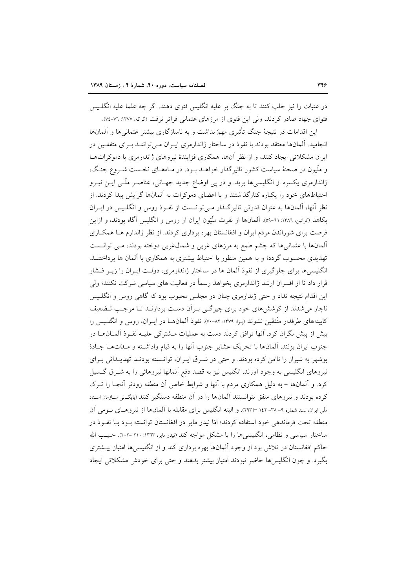در عتبات را نیز جلب کنند تا به جنگ بر علیه انگلیس فتوی دهند. اگر چه علما علیه انگلـیس فتوای جهاد صادر کردند، ولی این فتوی از مرزهای عثمانی فراتر نرفت (گرگه، ۱۳۷۷: ۷۲-۷٤).

این اقدامات در نتیجهٔ جنگ تأثیری مهمّ نداشت و به ناسازگاری بیشتر عثمانیها و آلمانها انجامید. آلمانها معتقد بودند با نفوذ در ساختار ژاندارمری ایـران مـی تواننـد بـرای متفقـین در ایران مشکلاتی ایجاد کنند، و از نظر آنها، همکاری فزایندهٔ نیروهای ژاندارمری با دموکراتهـا و ملّیون در صحنهٔ سیاست کشور تاثیرگذار خواهـد بـود. در مـاههـای نخـست شـروع جنـگ، ژاندارمری یکسره از انگلیسیها برید. و در پی اوضاع جدید جهـانی، عناصـر ملّـی ایــن نیــرو احتیاطهای خود را یکباره کنارگذاشتند و با اعضای دموکرات به آلمانها گرایش پیدا کردند. از نظر آنها، آلمانها به عنوان قدرتی تاثیرگـذار مـیتوانــست از نفـوذ روس و انگلـیس در ایــران بکاهد (کرانین، ۱۳۸٦: ٦٦-٥٩). آلمانها از نفرت ملَّيّون ايران از روس و انگليس آگاه بودند، و ازاين فرصت برای شوراندن مردم ایران و افغانستان بهره برداری کردند. از نظر ژاندارم هـا همکـاری ألمانها با عثمانیها که چشم طمع به مرزهای غربی و شمال،غربی دوخته بودند، مـی توانــست تهدیدی محسوب گردد؛ و به همین منظور با احتیاط بیشتری به همکاری با آلمان ها پرداختنـد. انگلیسیها برای جلوگیری از نفوذ آلمان ها در ساختار ژاندارمری، دولـت ایــران را زیــر فــشار قرار داد تا از افسران ارشد ژاندارمری بخواهد رسماً در فعالیت های سیاسی شرکت نکنند؛ ولی این اقدام نتیجه نداد و حتی ژندارمری چنان در مجلس محبوب بود که گاهی روس و انگلـیس ناچار می شدند از کوششهای خود برای چیرگی بـران دسـت بردارنـد تـا موجـب تـضعیف کابینههای طرفدار متّفقین نشوند (پیرا، ۱۳۷۹: ۸۲-۷۰). نفوذ آلمانهــا در ایــران، روس و انگلــیس را بیش از پیش نگران کرد. آنها توافق کردند دست به عملیات مــشترکی علیــه نفــوذ آلمــانهــا در جنوب ايران بزنند. آلمانها با تحريك عشاير جنوب أنها را به قيام واداشته و مـلةتهـا جـادهٔ بوشهر به شیراز را ناامن کرده بودند. و حتی در شـرق ایـران، توانـسته بودنـد تهدیـداتی بـرای نیروهای انگلیسی به وجود آورند. انگلیس نیز به قصد دفع آلمانها نیروهائی را به شـرق گــسیل کرد. و اَلمانها – به دلیل همکاری مردم با اَنها و شرایط خاص اَن منطقه زودتر اَنجـا را تــرک کرده بودند و نیروهای متفق نتوانستند آلمانها را در آن منطقه دستگیر کنند (بایگانی سازمان اسناد ملي ايران، سند شماره ۹– ۲۸– ۱٤۲ –(۲۹۳). و البته انگليس براي مقابله با آلمانها از نيروهـاي بـومي آن منطقه تحت فرماندهی خود استفاده کردند؛ امّا نیدر مایر در افغانستان توانسته بـود بـا نفـوذ در ساختار سیاسی و نظامی، انگلیسی ها را با مشکل مواجه کند (نیدر مایر، ۱۳٦۳: ۲۱۰ -۲۰۲). حبیب الله حاکم افغانستان در تلاش بود از وجود آلمانها بهره برداری کند و از انگلیسیها امتیاز بیــشتری بگیرد. و چون انگلیسها حاضر نبودند امتیاز بیشتر بدهند و حتی برای خودش مشکلاتی ایجاد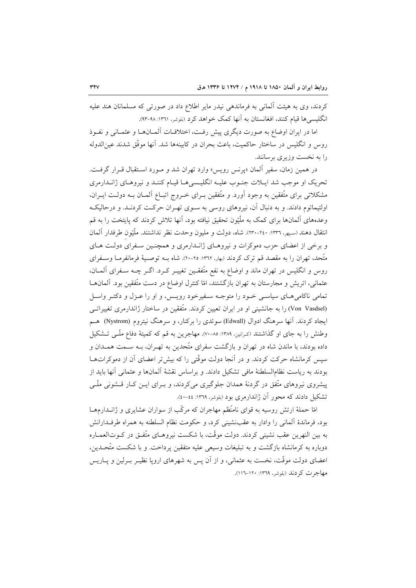کردند، وی به هیئت آلمانی به فرماندهی نیدر مایر اطلاع داد در صورتی که مسلمانان هند علیه انگلیسی ها قیام کنند، افغانستان به آنها کمک خواهد کرد (بلوشر، ۱۳٦۱: ۹۸-۹۳).

اما در ایران اوضاع به صورت دیگری پیش رفت، اختلافـات آلمـانهـا و عثمـانی و نفـوذ روس و انگلیس در ساختار حاکمیت، باعث بحران در کابینهها شد. آنها موفّق شدند عین(لدوله را به نخست وزیری برسانند.

در همین زمان، سفیر آلمان «پرنس رویس» وارد تهران شد و مـورد اسـتقبال قـرار گرفـت. تحریک او موجب شد ایـلات جنـوب علیـه انگلیـسیهـا قیـام کننـد و نیروهـای ژانـدارمری مشکلاتی برای متّفقین به وجود آورد. و متّفقین بـرای خـروج اتبـاع آلمـان بـه دولـت ايـران، اولتیماتوم دادند. و به دنبال آن، نیروهای روسی به سـوی تهـران حرکـت کردنـد. و درحالیکـه وعدههای المانها برای کمک به ملَّیْون تحقیق نیافته بود، اَنها تلاش کردند که پایتخت را به قم انتقال دهند (سبهر، ١٣٣٦: ٢٠٠-٢٣٠). شاه، دولت و مليون وحدت نظر نداشتند. ملَّيْون طرفدار آلمان و برخی از اعضای حزب دموکرات و نیروهـای ژانـدارمری و همچنـین سـفرای دولـت هـای متَّحد، تهران را به مقصد قم ترک کردند (بهار، ١٣٦٢: ٢٥-٢٠). شاه بـه توصـيهٔ فرمانفرمـا وسـفراي روس و انگلیس در تهران ماند و اوضاع به نفع متّفقـین تغییـر کـرد. اگـر چــه سـفرای آلمــان، عثمانی، اتریش و مجارستان به تهران بازگشتند، امّا کنترل اوضاع در دست متّفقین بود. آلمانهـا تمامی ناکامی هـای سیاسـی خـود را متوجـه سـفیرخود رویـس، و او را عـزل و دکتـر واسـل (Von Vasdsel) را به جانشینی او در ایران تعیین کردند. متّفقین در ساختار ژاندارمری تغییراتـی ایجاد کردند. آنها سرهنگ ادوال (Edwall) سوئدی را برکنار، و سرهنگ نیتروم (Nystrom) هـم وطنش را به جای او گذاشتند (کرانین، ۱۳۸۹: ۰۵–۷۰). مهاجرین به قم که کمیتهٔ دفاع ملّـی تـشکیل داده بودند، با ماندن شاه در تهران و بازگشت سفرای متّحدین به تهـران، بــه ســمت همــدان و سپس کرمانشاه حرکت کردند. و در آنجا دولت موقّتی را که بیش تر اعضای آن از دموکراتهـا بودند به ریاست نظام|لسلطنهٔ مافی تشکیل دادند. و براساس نقشهٔ آلمانها و عثمانی آنها باید از پیشروی نیروهای متّفق در گردنهٔ همدان جلوگیری میکردند، و بـرای ایــن کـار قــشونی ملّــی تشکیل دادند که محور آن ژاندارمری بود (بلوشر، ۱۳۶۹: ٤٤-٤٠).

امّا حملهٔ ارتش روسیه به قوای نامنّظم مهاجران که مرکّب از سواران عشایری و ژانــدارمهــا بود، فرماندهٔ آلمانی را وادار به عقبنشینی کرد، و حکومت نظام السلطنه به همراه طرف دارانش به بين النهرين عقب نشيني كردند. دولت موقَّت، با شكست نيروهــاي متَّفــق در كــوتالعمــاره دوباره به کرمانشاه بازگشت و به تبلیغات وسیعی علیه متفقین پرداخت. و با شکست متّحـدین، اعضای دولت موقّت، نخست به عثمانی، و از آن پس به شهرهای اروپا نظیـر بــرلین و پــاریس مهاجرت کردند (بلوشر، ١٣٦٩: ١٢٠-١١٦).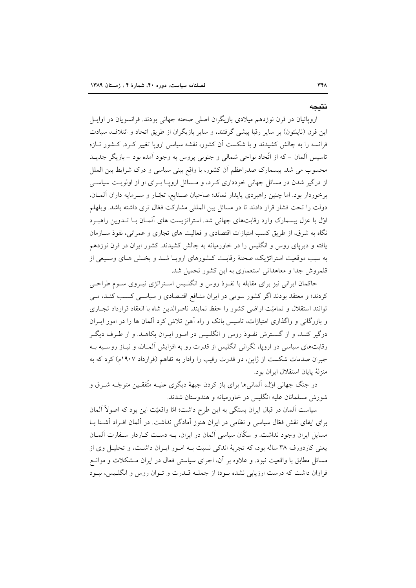# نتىجە

اروپائیان در قرن نوزدهم میلادی بازیگران اصلی صحنه جهانی بودند. فرانسویان در اوایــل این قرن (ناپلئون) بر سایر رقبا پیشی گرفتند، و سایر بازیگران از طریق اتحاد و ائتلاف، سیادت فرانسه را به چالش کشیدند و با شکست آن کشور، نقشه سیاسی اروپا تغییر کـرد. کـشور تـازه تاسیس آلمان – که از اتّحاد نواحی شمالی و جنوبی پروس به وجود آمده بود – بازیگر جدیــد محسوب می شد. بیسمارک صدراعظم آن کشور، با واقع بینی سیاسی و درک شرایط بین الملل از درگیر شدن در مسائل جهانی خودداری کـرد، و مـسائل اروپـا بـرای او از اولویـت سیاسـی برخوردار بود. اما چنین راهبردی پایدار نماند؛ صاحبان صـنایع، تجّـار و سـرمایه داران آلمـان، دولت را تحت فشار قرار دادند تا در مسائل بین المللی مشارکت فعّال تری داشته باشد. ویلهلم اول با عزل بیسمارک وارد رقابتهای جهانی شد. استراتژیست های آلمـان بــا تــدوین راهبـرد نگاه به شرق، از طریق کسب امتیازات اقتصادی و فعالیت های تجاری و عمرانی، نفوذ ســازمان یافته و دیرپای روس و انگلیس را در خاورمیانه به چالش کشیدند. کشور ایران در قرن نوزدهم به سبب موقعیت استراتژیک، صحنهٔ رقابت کـشورهای اروپـا شـد و بخـش هـای وسـیعی از قلمروش جدا و معاهداتی استعماری به این کشور تحمیل شد.

حاکمان ایرانی نیز برای مقابله با نفـوذ روس و انگلـیس اسـتراتژی نیـروی سـوم طراحـی کردند؛ و معتقد بودند اگر کشور سومی در ایران منـافع اقتـصادی و سیاسـی کـسب کنـد، مـی توانند استقلال و تمامیّت اراضی کشور را حفظ نمایند. ناصرالدین شاه با انعقاد قرارداد تجباری و بازرگانی و واگذاری امتیازات، تاسیس بانک و راه آهن تلاش کرد آلمان ها را در امور ایـران درگیر کنـد، و از گـسترش نفـوذ روس و انگلـیس در امـور ایـران بکاهـد. و از طـرف دیگـر رقابتهای سیاسی در اروپا، نگرانی انگلیس از قدرت رو به افزایش آلمـان، و نیـاز روسـیه بـه جبران صدمات شکست از ژاپن، دو قدرت رقیب را وادار به تفاهم (قرارداد ۱۹۰۷م) کرد که به منزلة يايان استقلال ايران بود.

در جنگ جهانی اول، آلمانیها برای باز کردن جبههٔ دیگری علیـه متّفقـین متوجّـه شــرق و شورش مسلمانان علیه انگلیس در خاورمیانه و هندوستان شدند.

سیاست آلمان در قبال ایران بستگی به این طرح داشت؛ امّا واقعیّت این بود که اصولاً آلمان برای ایفای نقش فعّال سیاسی و نظامی در ایران هنوز آمادگی نداشت. در آلمان افـراد آشـنا بـا مسایل ایران وجود نداشت. و سکّان سیاسی آلمان در ایران، بـه دسـت کـاردار سـفارت آلمـان يعني كاردورف ٣٨ ساله بود، كه تجربهٔ اندكي نسبت بــه امــور ايــران داشــت، و تحليــل وي از مسائل مطابق با واقعیت نبود. و علاوه بر آن، اجرای سیاستی فعال در ایران مـشکلات و موانــع فراوان داشت که درست ارزیابی نشده بود؛ از جملـه قــدرت و تــوان روس و انگلـيس، نبـود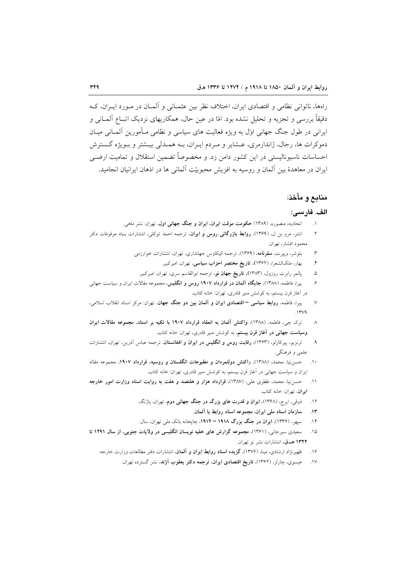راهها، ناتوانی نظامی و اقتصادی ایران، اختلاف نظر بین عثمـانی و آلمـان در مـورد ایـران، کـه دقیقاً بررسی و تجزیه و تحلیل نشده بود. امّا در عین حال، همکاریهای نزدیک اتبـاع اَلمـانی و ایرانی در طول جنگ جهانی اول به ویژه فعالیت های سیاسی و نظامی مـأمورین آلمــانی میــان دموکرات ها، رجال، ژاندارمري، عــشاير و مــردم ايــران، بــه همــدلي بيــشتر و بــويژه گــسترش احساسات ناسیونالیستی در این کشور دامن زد. و مخصوصاً تضمین استقلال و تمامیت ارضــی ایران در معاهدهٔ بین آلمان و روسیه به افزیش محبوبیّت آلمانی ها در اذهان ایرانیان انجامید.

# منابع و مأخذ:

### الف. فارسى:

- اتحادیه، منصوره، (۱۳۸۹) حکومت موقت ایران، ایران و جنگ جهانی اول، تهران: نشر ماهی.
- انتنر، مرو بن ل، (۱۳۶۹)، **روابط بازرگانی روس و ایران**، ترجمه احمد توکلی، انتشارات بنیاد موقوفات دکتر  $\mathcal{N}$ محمود افشار، تهران.
	- بلوشر، وپیرت، **سفرنامه**، (۱۳۶۹)، ترجمه کیکاوس جهانداری، تهران، انتشارات خوارزمی.  $\mathbf{r}$ 
		- بهار، ملکالشعرا، (۱۳۶۲)، **تاریخ مختصر احزاب سیاسی**، تهران، امیرکبیر.  $\cdot$
		- پالمر رابرت روزول، (۱۳۸۳)، **تاریخ جهان نو**، ترجمه ابوالقاسم سری، تهران، امیرکبیر. ۵.
- پیرا، فاطمه، (۱۳۸۸)، جایگاه آلمان در قرارداد ۱۹۰۷ روس و انگلیس، مجموعه مقالات ایران و سیاست جهانی عي در آغاز قرن بیستم، به کوشش منیر قادری، تهران: خانه کتاب.
- پیرا، فاطمه، روابط سیاسی اقتصادی ایران و آلمان بین دو جنگ جهان، تهران: مرکز اسناد انقلاب اسلامی،  $\mathcal{N}$  $\sqrt{2}$
- ترک چی، فاطمه، (۱۳۸۸)، واکنش آلمان به انعقاد قرارداد ۱۹۰۷ با تکیه بر اسناد، مجموعه مقالات ایران  $\lambda$ **وسیاست جهانی در آغاز قرن بیستم**، به کوشش منیر قادری، تهران: خانه کتاب.
- ترنزیو، پیرکارلو، (۱۳۶۳)، **رقابت روس و انگلیس در ایران و افغانستان**، ترجمه عباس آذرین، تهران، انتشارات  $\cdot$ علمي و فرهنگي.
- حسن نیا، محمد. (۱۳۸۸)، واکنش دولتمردان و مطبوعات انگلستان و روسیه، قرارداد ۱۹۰۷، مجموعه مقاله  $\Lambda$ ایران و سیاست جهانی در آغاز قرن بیستم، به کوشش منیر قادری، تهران: خانه کتاب.
- ١١. حسن نيا، محمد، ططرى على، (١٣٨٧)، قرارداد هزار و هفتصد و هفت به روايت اسناد وزارت امور خارجه ايران، تهران: خانه كتاب.
	- ذوقی، ایرج، (۱۳۶۸)، **ایران و قدرت های بزرگ در جنگ جهانی دوم**، تهران، پاژنگ.  $.11$ 
		- سازمان اسناد ملي ايران، مجموعه اسناد روابط با آلمان.  $\Lambda$ ۳
	- سیهر، (۱۳۳۶)، ایران در جنگ بزرگ ۱۹۱۸ ۱۹۱۴، چاپخانه بانک ملی تهران، سال.  $\mathbf{H}$
- سعیدی سیرجانی، (۱۳۶۱)، مجموعه گزارش های خفیه نویسان انگلیسی در ولایات جنوبی، از سال ۱۲۹۱ تا  $.10$ ١٣٢٢ هـ ق، انتشارات نشر نو تهران.
	- ظهیرنژاد ارشادی، مینا، (۱۳۷۶)، گزیده اسناد روابط ایران و آلمان، انتشارات دفتر مطالعات وزارت خارجه.  $.19$ 
		- عیسوی، چارلز، (۱۳۶۲)، **تاریخ اقتصادی ایران، ترجمه دکتر یعقوب آژند**، نشر گسترده تهران.  $.1V$